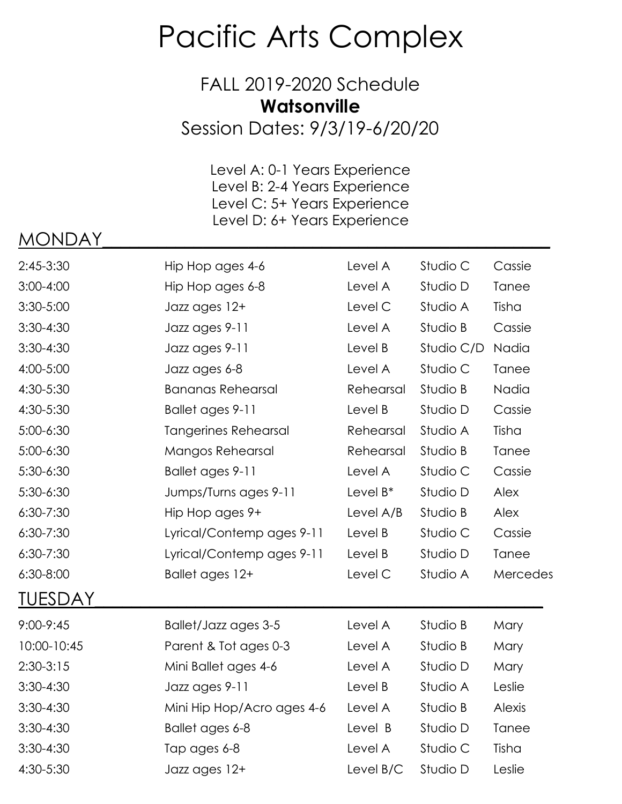## Pacific Arts Complex

FALL 2019-2020 Schedule **Watsonville**

Session Dates: 9/3/19-6/20/20

Level A: 0-1 Years Experience Level B: 2-4 Years Experience Level C: 5+ Years Experience Level D: 6+ Years Experience

## MONDAY\_\_\_\_\_\_\_\_\_\_\_\_\_\_\_\_\_\_\_\_\_\_\_\_\_\_\_\_\_\_\_\_\_\_\_\_\_\_\_\_\_\_\_\_\_\_\_\_\_

| 2:45-3:30      | Hip Hop ages 4-6            | Level A     | Studio C   | Cassie       |
|----------------|-----------------------------|-------------|------------|--------------|
| $3:00 - 4:00$  | Hip Hop ages 6-8            | Level A     | Studio D   | Tanee        |
| 3:30-5:00      | Jazz ages 12+               | Level C     | Studio A   | Tisha        |
| $3:30-4:30$    | Jazz ages 9-11              | Level A     | Studio B   | Cassie       |
| $3:30-4:30$    | Jazz ages 9-11              | Level B     | Studio C/D | Nadia        |
| 4:00-5:00      | Jazz ages 6-8               | Level A     | Studio C   | <b>Tanee</b> |
| 4:30-5:30      | <b>Bananas Rehearsal</b>    | Rehearsal   | Studio B   | Nadia        |
| 4:30-5:30      | Ballet ages 9-11            | Level B     | Studio D   | Cassie       |
| 5:00-6:30      | <b>Tangerines Rehearsal</b> | Rehearsal   | Studio A   | Tisha        |
| 5:00-6:30      | Mangos Rehearsal            | Rehearsal   | Studio B   | <b>Tanee</b> |
| 5:30-6:30      | Ballet ages 9-11            | Level A     | Studio C   | Cassie       |
| 5:30-6:30      | Jumps/Turns ages 9-11       | Level $B^*$ | Studio D   | Alex         |
| $6:30 - 7:30$  | Hip Hop ages 9+             | Level A/B   | Studio B   | <b>Alex</b>  |
| $6:30 - 7:30$  | Lyrical/Contemp ages 9-11   | Level B     | Studio C   | Cassie       |
| $6:30 - 7:30$  | Lyrical/Contemp ages 9-11   | Level B     | Studio D   | <b>Tanee</b> |
| 6:30-8:00      | Ballet ages 12+             | Level C     | Studio A   | Mercedes     |
| <u>TUESDAY</u> |                             |             |            |              |
| 9:00-9:45      | Ballet/Jazz ages 3-5        | Level A     | Studio B   | Mary         |
| 10:00-10:45    | Parent & Tot ages 0-3       | Level A     | Studio B   | Mary         |
| $2:30-3:15$    | Mini Ballet ages 4-6        | Level A     | Studio D   | Mary         |
| $3:30-4:30$    | Jazz ages 9-11              | Level B     | Studio A   | Leslie       |
| $3:30-4:30$    | Mini Hip Hop/Acro ages 4-6  | Level A     | Studio B   | Alexis       |
| $3:30-4:30$    | Ballet ages 6-8             | Level B     | Studio D   | <b>Tanee</b> |
| 3:30-4:30      | Tap ages 6-8                | Level A     | Studio C   | Tisha        |
| 4:30-5:30      | Jazz ages 12+               | Level B/C   | Studio D   | Leslie       |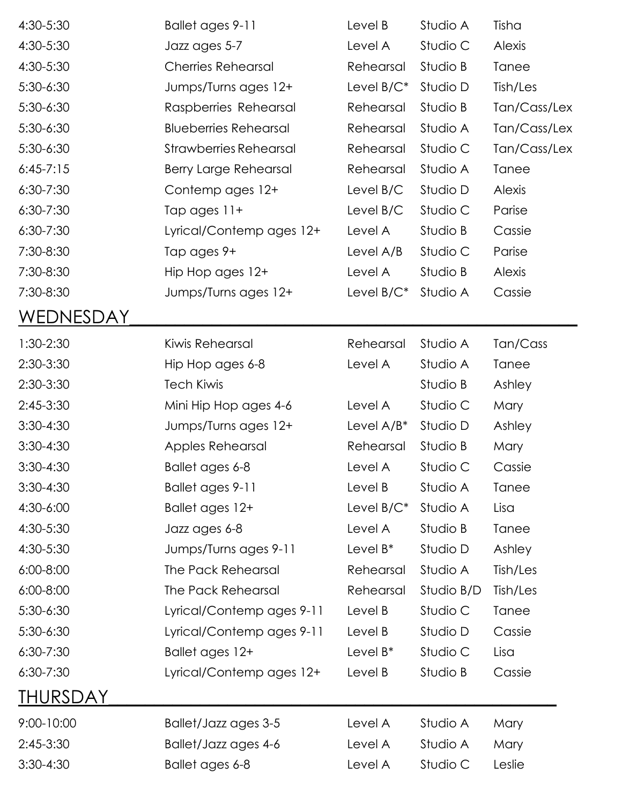| 4:30-5:30       | Ballet ages 9-11              | Level B       | Studio A   | Tisha         |
|-----------------|-------------------------------|---------------|------------|---------------|
| 4:30-5:30       | Jazz ages 5-7                 | Level A       | Studio C   | Alexis        |
| 4:30-5:30       | <b>Cherries Rehearsal</b>     | Rehearsal     | Studio B   | Tanee         |
| 5:30-6:30       | Jumps/Turns ages 12+          | Level $B/C^*$ | Studio D   | Tish/Les      |
| 5:30-6:30       | Raspberries Rehearsal         | Rehearsal     | Studio B   | Tan/Cass/Lex  |
| 5:30-6:30       | <b>Blueberries Rehearsal</b>  | Rehearsal     | Studio A   | Tan/Cass/Lex  |
| 5:30-6:30       | <b>Strawberries Rehearsal</b> | Rehearsal     | Studio C   | Tan/Cass/Lex  |
| $6:45-7:15$     | <b>Berry Large Rehearsal</b>  | Rehearsal     | Studio A   | Tanee         |
| 6:30-7:30       | Contemp ages 12+              | Level B/C     | Studio D   | <b>Alexis</b> |
| 6:30-7:30       | Tap ages 11+                  | Level B/C     | Studio C   | Parise        |
| 6:30-7:30       | Lyrical/Contemp ages 12+      | Level A       | Studio B   | Cassie        |
| 7:30-8:30       | Tap ages 9+                   | Level A/B     | Studio C   | Parise        |
| 7:30-8:30       | Hip Hop ages 12+              | Level A       | Studio B   | <b>Alexis</b> |
| 7:30-8:30       | Jumps/Turns ages 12+          | Level $B/C^*$ | Studio A   | Cassie        |
| WEDNESDAY       |                               |               |            |               |
| 1:30-2:30       | Kiwis Rehearsal               | Rehearsal     | Studio A   | Tan/Cass      |
| 2:30-3:30       | Hip Hop ages 6-8              | Level A       | Studio A   | Tanee         |
| 2:30-3:30       | <b>Tech Kiwis</b>             |               | Studio B   | Ashley        |
| 2:45-3:30       | Mini Hip Hop ages 4-6         | Level A       | Studio C   | Mary          |
| $3:30-4:30$     | Jumps/Turns ages 12+          | Level $A/B^*$ | Studio D   | Ashley        |
| $3:30-4:30$     | Apples Rehearsal              | Rehearsal     | Studio B   | Mary          |
| 3:30-4:30       | Ballet ages 6-8               | Level A       | Studio C   | Cassie        |
| $3:30-4:30$     | Ballet ages 9-11              | Level B       | Studio A   | Tanee         |
| 4:30-6:00       | Ballet ages 12+               | Level $B/C^*$ | Studio A   | Lisa          |
| 4:30-5:30       | Jazz ages 6-8                 | Level A       | Studio B   | Tanee         |
| 4:30-5:30       | Jumps/Turns ages 9-11         | Level $B^*$   | Studio D   | Ashley        |
| 6:00-8:00       | The Pack Rehearsal            | Rehearsal     | Studio A   | Tish/Les      |
| 6:00-8:00       | The Pack Rehearsal            | Rehearsal     | Studio B/D | Tish/Les      |
| 5:30-6:30       | Lyrical/Contemp ages 9-11     | Level B       | Studio C   | Tanee         |
| 5:30-6:30       | Lyrical/Contemp ages 9-11     | Level B       | Studio D   | Cassie        |
| $6:30 - 7:30$   | Ballet ages 12+               | Level $B^*$   | Studio C   | Lisa          |
| 6:30-7:30       | Lyrical/Contemp ages 12+      | Level B       | Studio B   | Cassie        |
| <u>THURSDAY</u> |                               |               |            |               |
| 9:00-10:00      | Ballet/Jazz ages 3-5          | Level A       | Studio A   | Mary          |
| 2:45-3:30       | Ballet/Jazz ages 4-6          | Level A       | Studio A   | Mary          |
| $3:30-4:30$     | Ballet ages 6-8               | Level A       | Studio C   | Leslie        |
|                 |                               |               |            |               |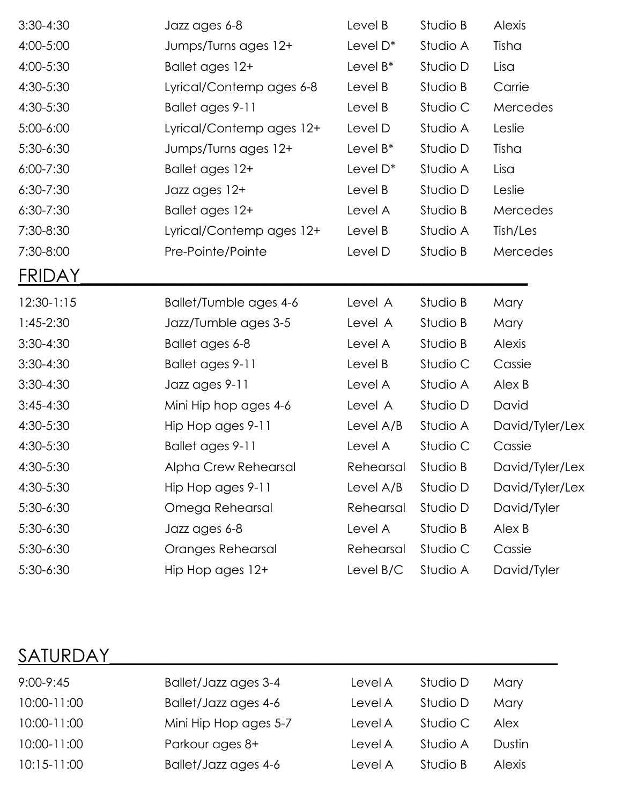| $3:30-4:30$   | Jazz ages 6-8            | Level B     | Studio B | Alexis          |
|---------------|--------------------------|-------------|----------|-----------------|
| 4:00-5:00     | Jumps/Turns ages 12+     | Level D*    | Studio A | Tisha           |
| 4:00-5:30     | Ballet ages 12+          | Level $B^*$ | Studio D | Lisa            |
| 4:30-5:30     | Lyrical/Contemp ages 6-8 | Level B     | Studio B | Carrie          |
| 4:30-5:30     | Ballet ages 9-11         | Level B     | Studio C | Mercedes        |
| 5:00-6:00     | Lyrical/Contemp ages 12+ | Level D     | Studio A | Leslie          |
| 5:30-6:30     | Jumps/Turns ages 12+     | Level $B^*$ | Studio D | Tisha           |
| $6:00 - 7:30$ | Ballet ages 12+          | Level D*    | Studio A | Lisa            |
| $6:30 - 7:30$ | Jazz ages 12+            | Level B     | Studio D | Leslie          |
| 6:30-7:30     | Ballet ages 12+          | Level A     | Studio B | Mercedes        |
| 7:30-8:30     | Lyrical/Contemp ages 12+ | Level B     | Studio A | Tish/Les        |
| 7:30-8:00     | Pre-Pointe/Pointe        | Level D     | Studio B | Mercedes        |
| <b>FRIDAY</b> |                          |             |          |                 |
| $12:30-1:15$  | Ballet/Tumble ages 4-6   | Level A     | Studio B | Mary            |
| $1:45-2:30$   | Jazz/Tumble ages 3-5     | Level A     | Studio B | Mary            |
| $3:30-4:30$   | Ballet ages 6-8          | Level A     | Studio B | <b>Alexis</b>   |
| $3:30-4:30$   | Ballet ages 9-11         | Level B     | Studio C | Cassie          |
| $3:30-4:30$   | Jazz ages 9-11           | Level A     | Studio A | Alex B          |
| $3:45 - 4:30$ | Mini Hip hop ages 4-6    | Level A     | Studio D | David           |
| 4:30-5:30     | Hip Hop ages 9-11        | Level A/B   | Studio A | David/Tyler/Lex |
| 4:30-5:30     | Ballet ages 9-11         | Level A     | Studio C | Cassie          |
| 4:30-5:30     | Alpha Crew Rehearsal     | Rehearsal   | Studio B | David/Tyler/Lex |
| 4:30-5:30     | Hip Hop ages 9-11        | Level A/B   | Studio D | David/Tyler/Lex |
| 5:30-6:30     | Omega Rehearsal          | Rehearsal   | Studio D | David/Tyler     |
| 5:30-6:30     | Jazz ages 6-8            | Level A     | Studio B | Alex B          |
| 5:30-6:30     | Oranges Rehearsal        | Rehearsal   | Studio C | Cassie          |
| 5:30-6:30     | Hip Hop ages 12+         | Level B/C   | Studio A | David/Tyler     |
|               |                          |             |          |                 |

## SATURDAY\_\_\_\_\_\_\_\_\_\_\_\_\_\_\_\_\_\_\_\_\_\_\_\_\_\_\_\_\_\_\_\_\_\_\_\_\_\_\_\_\_\_\_\_\_\_\_\_\_

| $9:00 - 9:45$   | Ballet/Jazz ages 3-4  | Level A | Studio D | Mary          |
|-----------------|-----------------------|---------|----------|---------------|
| 10:00-11:00     | Ballet/Jazz ages 4-6  | Level A | Studio D | Mary          |
| 10:00-11:00     | Mini Hip Hop ages 5-7 | Level A | Studio C | <b>Alex</b>   |
| 10:00-11:00     | Parkour ages 8+       | Level A | Studio A | Dustin        |
| $10:15 - 11:00$ | Ballet/Jazz ages 4-6  | Level A | Studio B | <b>Alexis</b> |